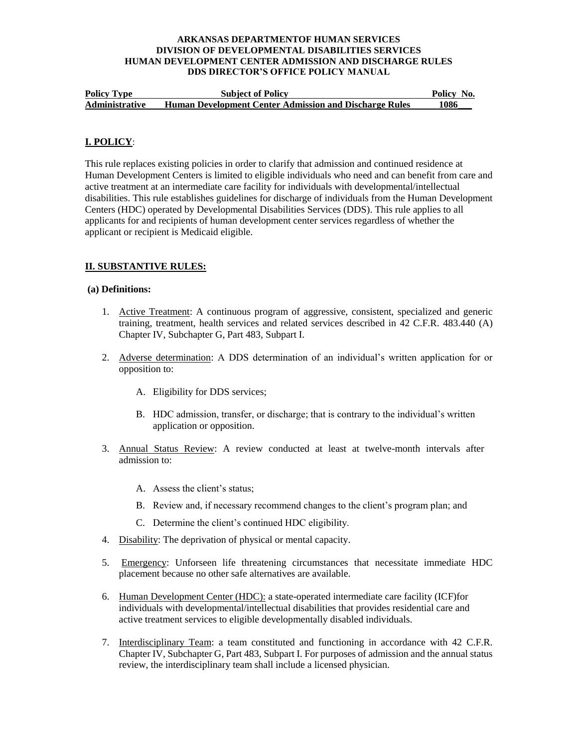| <b>Policy Type</b>    | <b>Subject of Policy</b>                                      | Policy No. |
|-----------------------|---------------------------------------------------------------|------------|
| <b>Administrative</b> | <b>Human Development Center Admission and Discharge Rules</b> | 1086       |

## **I. POLICY**:

This rule replaces existing policies in order to clarify that admission and continued residence at Human Development Centers is limited to eligible individuals who need and can benefit from care and active treatment at an intermediate care facility for individuals with developmental/intellectual disabilities. This rule establishes guidelines for discharge of individuals from the Human Development Centers (HDC) operated by Developmental Disabilities Services (DDS). This rule applies to all applicants for and recipients of human development center services regardless of whether the applicant or recipient is Medicaid eligible.

## **II. SUBSTANTIVE RULES:**

### **(a) Definitions:**

- 1. Active Treatment: A continuous program of aggressive, consistent, specialized and generic training, treatment, health services and related services described in 42 C.F.R. 483.440 (A) Chapter IV, Subchapter G, Part 483, Subpart I.
- 2. Adverse determination: A DDS determination of an individual's written application for or opposition to:
	- A. Eligibility for DDS services;
	- B. HDC admission, transfer, or discharge; that is contrary to the individual's written application or opposition.
- 3. Annual Status Review: A review conducted at least at twelve-month intervals after admission to:
	- A. Assess the client's status;
	- B. Review and, if necessary recommend changes to the client's program plan; and
	- C. Determine the client's continued HDC eligibility.
- 4. Disability: The deprivation of physical or mental capacity.
- 5. Emergency: Unforseen life threatening circumstances that necessitate immediate HDC placement because no other safe alternatives are available.
- 6. Human Development Center (HDC): a state-operated intermediate care facility (ICF)for individuals with developmental/intellectual disabilities that provides residential care and active treatment services to eligible developmentally disabled individuals.
- 7. Interdisciplinary Team: a team constituted and functioning in accordance with 42 C.F.R. Chapter IV, Subchapter G, Part 483, Subpart I. For purposes of admission and the annual status review, the interdisciplinary team shall include a licensed physician.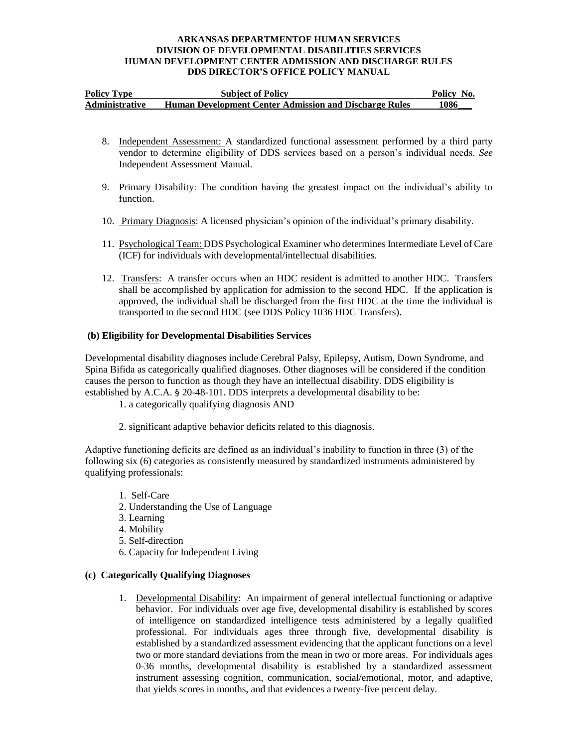| <b>Policy Type</b>    | <b>Subject of Policy</b>                                      | Policy No. |
|-----------------------|---------------------------------------------------------------|------------|
| <b>Administrative</b> | <b>Human Development Center Admission and Discharge Rules</b> | 1086       |

- 8. Independent Assessment: A standardized functional assessment performed by a third party vendor to determine eligibility of DDS services based on a person's individual needs. *See* Independent Assessment Manual.
- 9. Primary Disability: The condition having the greatest impact on the individual's ability to function.
- 10. Primary Diagnosis: A licensed physician's opinion of the individual's primary disability.
- 11. Psychological Team: DDS Psychological Examiner who determines Intermediate Level of Care (ICF) for individuals with developmental/intellectual disabilities.
- 12. Transfers: A transfer occurs when an HDC resident is admitted to another HDC. Transfers shall be accomplished by application for admission to the second HDC. If the application is approved, the individual shall be discharged from the first HDC at the time the individual is transported to the second HDC (see DDS Policy 1036 HDC Transfers).

## **(b) Eligibility for Developmental Disabilities Services**

Developmental disability diagnoses include Cerebral Palsy, Epilepsy, Autism, Down Syndrome, and Spina Bifida as categorically qualified diagnoses. Other diagnoses will be considered if the condition causes the person to function as though they have an intellectual disability. DDS eligibility is established by A.C.A. § 20-48-101. DDS interprets a developmental disability to be:

1. a categorically qualifying diagnosis AND

2. significant adaptive behavior deficits related to this diagnosis.

Adaptive functioning deficits are defined as an individual's inability to function in three (3) of the following six (6) categories as consistently measured by standardized instruments administered by qualifying professionals:

- 1. Self-Care
- 2. Understanding the Use of Language
- 3. Learning
- 4. Mobility
- 5. Self-direction
- 6. Capacity for Independent Living

### **(c) Categorically Qualifying Diagnoses**

1. Developmental Disability: An impairment of general intellectual functioning or adaptive behavior. For individuals over age five, developmental disability is established by scores of intelligence on standardized intelligence tests administered by a legally qualified professional. For individuals ages three through five, developmental disability is established by a standardized assessment evidencing that the applicant functions on a level two or more standard deviations from the mean in two or more areas. For individuals ages 0-36 months, developmental disability is established by a standardized assessment instrument assessing cognition, communication, social/emotional, motor, and adaptive, that yields scores in months, and that evidences a twenty-five percent delay.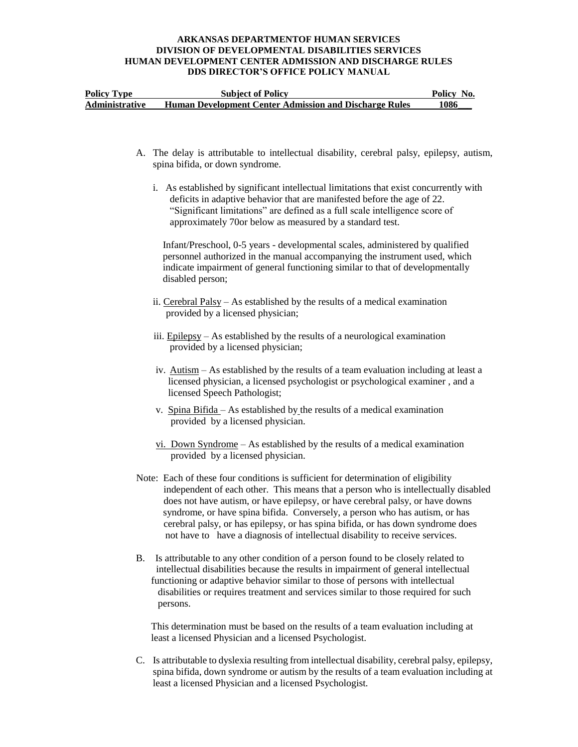| <b>Policy Type</b>    | <b>Subject of Policy</b>                                      | Policy No. |
|-----------------------|---------------------------------------------------------------|------------|
| <b>Administrative</b> | <b>Human Development Center Admission and Discharge Rules</b> | 1086       |

- A. The delay is attributable to intellectual disability, cerebral palsy, epilepsy, autism, spina bifida, or down syndrome.
	- i.As established by significant intellectual limitations that exist concurrently with deficits in adaptive behavior that are manifested before the age of 22. "Significant limitations" are defined as a full scale intelligence score of approximately 70or below as measured by a standard test.

 Infant/Preschool, 0-5 years - developmental scales, administered by qualified personnel authorized in the manual accompanying the instrument used, which indicate impairment of general functioning similar to that of developmentally disabled person;

- ii. Cerebral Palsy As established by the results of a medical examination provided by a licensed physician;
- iii. Epilepsy As established by the results of a neurological examination provided by a licensed physician;
- iv. Autism As established by the results of a team evaluation including at least a licensed physician, a licensed psychologist or psychological examiner , and a licensed Speech Pathologist;
- v. Spina Bifida As established by the results of a medical examination provided by a licensed physician.
- vi. Down Syndrome As established by the results of a medical examination provided by a licensed physician.
- Note: Each of these four conditions is sufficient for determination of eligibility independent of each other. This means that a person who is intellectually disabled does not have autism, or have epilepsy, or have cerebral palsy, or have downs syndrome, or have spina bifida. Conversely, a person who has autism, or has cerebral palsy, or has epilepsy, or has spina bifida, or has down syndrome does not have to have a diagnosis of intellectual disability to receive services.
- B. Is attributable to any other condition of a person found to be closely related to intellectual disabilities because the results in impairment of general intellectual functioning or adaptive behavior similar to those of persons with intellectual disabilities or requires treatment and services similar to those required for such persons.

 This determination must be based on the results of a team evaluation including at least a licensed Physician and a licensed Psychologist.

C. Is attributable to dyslexia resulting from intellectual disability, cerebral palsy, epilepsy, spina bifida, down syndrome or autism by the results of a team evaluation including at least a licensed Physician and a licensed Psychologist.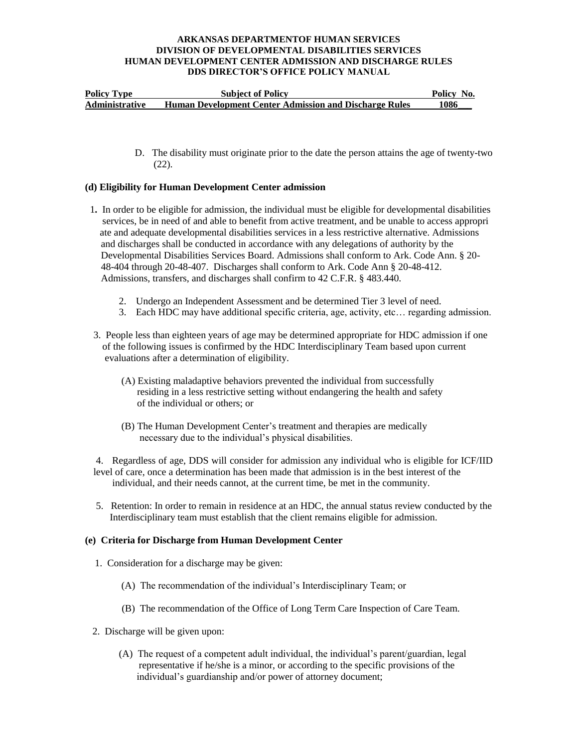| <b>Policy Type</b>    | <b>Subject of Policy</b>                                      | Policy No. |
|-----------------------|---------------------------------------------------------------|------------|
| <b>Administrative</b> | <b>Human Development Center Admission and Discharge Rules</b> | 1086       |

 D. The disability must originate prior to the date the person attains the age of twenty-two (22).

### **(d) Eligibility for Human Development Center admission**

- 1**.** In order to be eligible for admission, the individual must be eligible for developmental disabilities services, be in need of and able to benefit from active treatment, and be unable to access appropri ate and adequate developmental disabilities services in a less restrictive alternative. Admissions and discharges shall be conducted in accordance with any delegations of authority by the Developmental Disabilities Services Board. Admissions shall conform to Ark. Code Ann. § 20- 48-404 through 20-48-407. Discharges shall conform to Ark. Code Ann § 20-48-412. Admissions, transfers, and discharges shall confirm to 42 C.F.R. § 483.440.
	- 2. Undergo an Independent Assessment and be determined Tier 3 level of need.
	- 3. Each HDC may have additional specific criteria, age, activity, etc… regarding admission.
- 3. People less than eighteen years of age may be determined appropriate for HDC admission if one of the following issues is confirmed by the HDC Interdisciplinary Team based upon current evaluations after a determination of eligibility.
	- (A) Existing maladaptive behaviors prevented the individual from successfully residing in a less restrictive setting without endangering the health and safety of the individual or others; or
	- (B) The Human Development Center's treatment and therapies are medically necessary due to the individual's physical disabilities.

4. Regardless of age, DDS will consider for admission any individual who is eligible for ICF/IID level of care, once a determination has been made that admission is in the best interest of the individual, and their needs cannot, at the current time, be met in the community.

5. Retention: In order to remain in residence at an HDC, the annual status review conducted by the Interdisciplinary team must establish that the client remains eligible for admission.

### **(e) Criteria for Discharge from Human Development Center**

- 1. Consideration for a discharge may be given:
	- (A) The recommendation of the individual's Interdisciplinary Team; or
	- (B) The recommendation of the Office of Long Term Care Inspection of Care Team.
- 2. Discharge will be given upon:
	- (A) The request of a competent adult individual, the individual's parent/guardian, legal representative if he/she is a minor, or according to the specific provisions of the individual's guardianship and/or power of attorney document;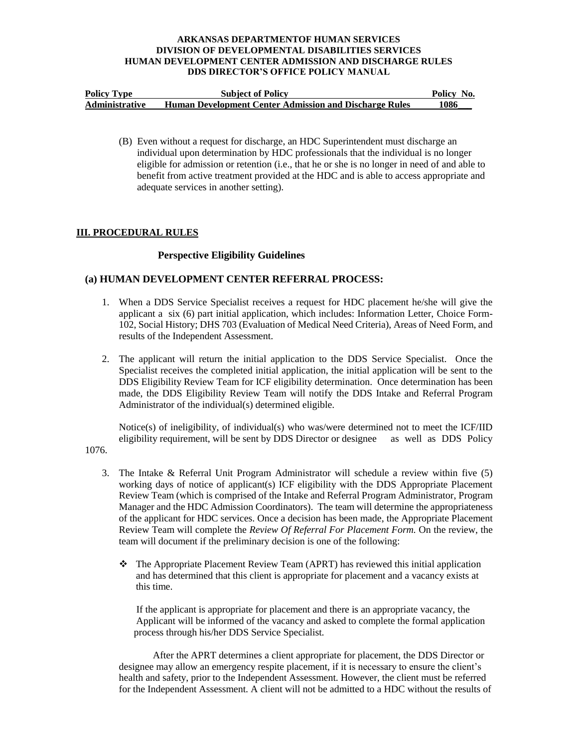| <b>Policy Type</b>    | <b>Subject of Policy</b>                                      | Policy No. |
|-----------------------|---------------------------------------------------------------|------------|
| <b>Administrative</b> | <b>Human Development Center Admission and Discharge Rules</b> | 1086       |

(B) Even without a request for discharge, an HDC Superintendent must discharge an individual upon determination by HDC professionals that the individual is no longer eligible for admission or retention (i.e., that he or she is no longer in need of and able to benefit from active treatment provided at the HDC and is able to access appropriate and adequate services in another setting).

## **III. PROCEDURAL RULES**

### **Perspective Eligibility Guidelines**

# **(a) HUMAN DEVELOPMENT CENTER REFERRAL PROCESS:**

- 1. When a DDS Service Specialist receives a request for HDC placement he/she will give the applicant a six (6) part initial application, which includes: Information Letter, Choice Form-102, Social History; DHS 703 (Evaluation of Medical Need Criteria), Areas of Need Form, and results of the Independent Assessment.
- 2. The applicant will return the initial application to the DDS Service Specialist. Once the Specialist receives the completed initial application, the initial application will be sent to the DDS Eligibility Review Team for ICF eligibility determination. Once determination has been made, the DDS Eligibility Review Team will notify the DDS Intake and Referral Program Administrator of the individual(s) determined eligible.

Notice(s) of ineligibility, of individual(s) who was/were determined not to meet the ICF/IID eligibility requirement, will be sent by DDS Director or designee as well as DDS Policy

- 1076.
	- 3. The Intake & Referral Unit Program Administrator will schedule a review within five (5) working days of notice of applicant(s) ICF eligibility with the DDS Appropriate Placement Review Team (which is comprised of the Intake and Referral Program Administrator, Program Manager and the HDC Admission Coordinators). The team will determine the appropriateness of the applicant for HDC services. Once a decision has been made, the Appropriate Placement Review Team will complete the *Review Of Referral For Placement Form.* On the review, the team will document if the preliminary decision is one of the following:
		- The Appropriate Placement Review Team (APRT) has reviewed this initial application and has determined that this client is appropriate for placement and a vacancy exists at this time.

 If the applicant is appropriate for placement and there is an appropriate vacancy, the Applicant will be informed of the vacancy and asked to complete the formal application process through his/her DDS Service Specialist.

After the APRT determines a client appropriate for placement, the DDS Director or designee may allow an emergency respite placement, if it is necessary to ensure the client's health and safety, prior to the Independent Assessment. However, the client must be referred for the Independent Assessment. A client will not be admitted to a HDC without the results of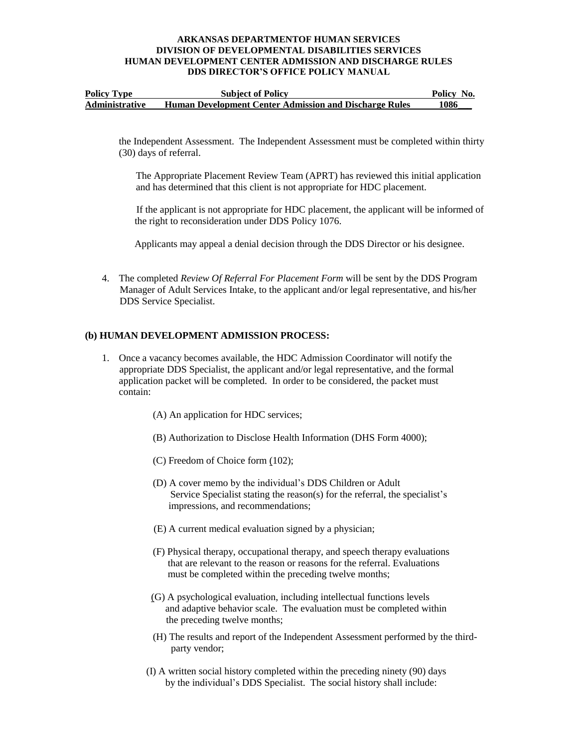| <b>Policy Type</b>    | <b>Subject of Policy</b>                                      | Policy No. |
|-----------------------|---------------------------------------------------------------|------------|
| <b>Administrative</b> | <b>Human Development Center Admission and Discharge Rules</b> | 1086       |

the Independent Assessment. The Independent Assessment must be completed within thirty (30) days of referral.

The Appropriate Placement Review Team (APRT) has reviewed this initial application and has determined that this client is not appropriate for HDC placement.

 If the applicant is not appropriate for HDC placement, the applicant will be informed of the right to reconsideration under DDS Policy 1076.

Applicants may appeal a denial decision through the DDS Director or his designee.

4. The completed *Review Of Referral For Placement Form* will be sent by the DDS Program Manager of Adult Services Intake, to the applicant and/or legal representative, and his/her DDS Service Specialist.

## **(b) HUMAN DEVELOPMENT ADMISSION PROCESS:**

- 1. Once a vacancy becomes available, the HDC Admission Coordinator will notify the appropriate DDS Specialist, the applicant and/or legal representative, and the formal application packet will be completed. In order to be considered, the packet must contain:
	- (A) An application for HDC services;
	- (B) Authorization to Disclose Health Information (DHS Form 4000);
	- (C) Freedom of Choice form (102);
	- (D) A cover memo by the individual's DDS Children or Adult Service Specialist stating the reason(s) for the referral, the specialist's impressions, and recommendations;
	- (E) A current medical evaluation signed by a physician;
	- (F) Physical therapy, occupational therapy, and speech therapy evaluations that are relevant to the reason or reasons for the referral. Evaluations must be completed within the preceding twelve months;
	- (G) A psychological evaluation, including intellectual functions levels and adaptive behavior scale. The evaluation must be completed within the preceding twelve months;
	- (H) The results and report of the Independent Assessment performed by the third party vendor;
	- (I) A written social history completed within the preceding ninety (90) days by the individual's DDS Specialist. The social history shall include: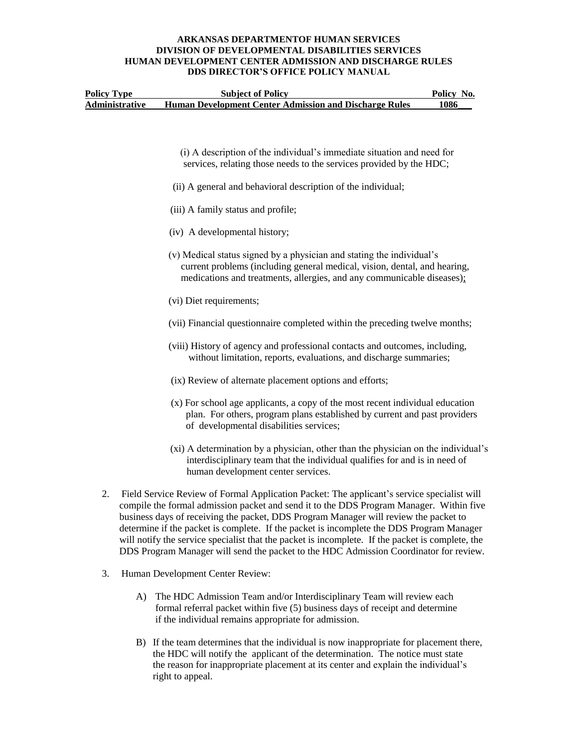| <b>Policy Type</b>    | <b>Subject of Policy</b>                                      | Policy No. |
|-----------------------|---------------------------------------------------------------|------------|
| <b>Administrative</b> | <b>Human Development Center Admission and Discharge Rules</b> | 1086       |

- (i) A description of the individual's immediate situation and need for services, relating those needs to the services provided by the HDC;
- (ii) A general and behavioral description of the individual;
- (iii) A family status and profile;
- (iv) A developmental history;
- (v) Medical status signed by a physician and stating the individual's current problems (including general medical, vision, dental, and hearing, medications and treatments, allergies, and any communicable diseases);
- (vi) Diet requirements;
- (vii) Financial questionnaire completed within the preceding twelve months;
- (viii) History of agency and professional contacts and outcomes, including, without limitation, reports, evaluations, and discharge summaries;
- (ix) Review of alternate placement options and efforts;
- (x) For school age applicants, a copy of the most recent individual education plan. For others, program plans established by current and past providers of developmental disabilities services;
- (xi) A determination by a physician, other than the physician on the individual's interdisciplinary team that the individual qualifies for and is in need of human development center services.
- 2. Field Service Review of Formal Application Packet: The applicant's service specialist will compile the formal admission packet and send it to the DDS Program Manager. Within five business days of receiving the packet, DDS Program Manager will review the packet to determine if the packet is complete. If the packet is incomplete the DDS Program Manager will notify the service specialist that the packet is incomplete. If the packet is complete, the DDS Program Manager will send the packet to the HDC Admission Coordinator for review.
- 3. Human Development Center Review:
	- A) The HDC Admission Team and/or Interdisciplinary Team will review each formal referral packet within five (5) business days of receipt and determine if the individual remains appropriate for admission.
	- B) If the team determines that the individual is now inappropriate for placement there, the HDC will notify the applicant of the determination. The notice must state the reason for inappropriate placement at its center and explain the individual's right to appeal.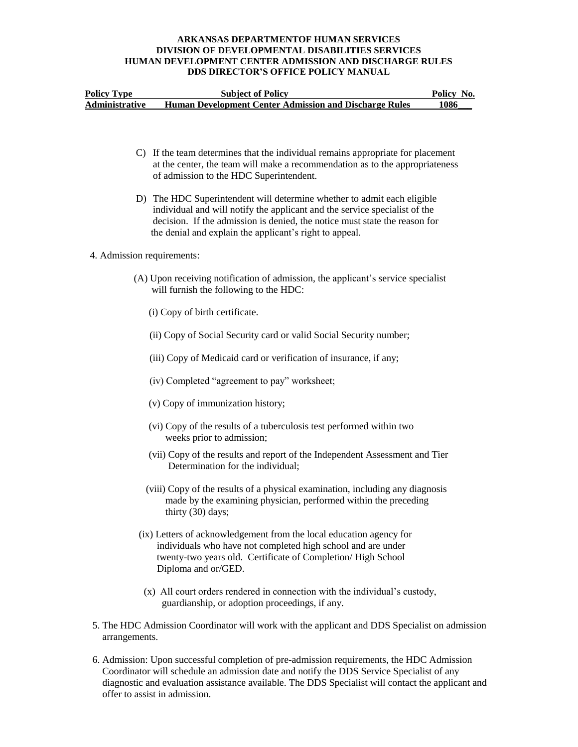| <b>Policy Type</b>    | <b>Subject of Policy</b>                                      | Policy No. |
|-----------------------|---------------------------------------------------------------|------------|
| <b>Administrative</b> | <b>Human Development Center Admission and Discharge Rules</b> | 1086       |

- C) If the team determines that the individual remains appropriate for placement at the center, the team will make a recommendation as to the appropriateness of admission to the HDC Superintendent.
- D) The HDC Superintendent will determine whether to admit each eligible individual and will notify the applicant and the service specialist of the decision. If the admission is denied, the notice must state the reason for the denial and explain the applicant's right to appeal.

### 4. Admission requirements:

- (A) Upon receiving notification of admission, the applicant's service specialist will furnish the following to the HDC:
	- (i) Copy of birth certificate.
	- (ii) Copy of Social Security card or valid Social Security number;
	- (iii) Copy of Medicaid card or verification of insurance, if any;
	- (iv) Completed "agreement to pay" worksheet;
	- (v) Copy of immunization history;
	- (vi) Copy of the results of a tuberculosis test performed within two weeks prior to admission;
	- (vii) Copy of the results and report of the Independent Assessment and Tier Determination for the individual;
	- (viii) Copy of the results of a physical examination, including any diagnosis made by the examining physician, performed within the preceding thirty (30) days;
- (ix) Letters of acknowledgement from the local education agency for individuals who have not completed high school and are under twenty-two years old. Certificate of Completion/ High School Diploma and or/GED.
- (x) All court orders rendered in connection with the individual's custody, guardianship, or adoption proceedings, if any.
- 5. The HDC Admission Coordinator will work with the applicant and DDS Specialist on admission arrangements.
- 6. Admission: Upon successful completion of pre-admission requirements, the HDC Admission Coordinator will schedule an admission date and notify the DDS Service Specialist of any diagnostic and evaluation assistance available. The DDS Specialist will contact the applicant and offer to assist in admission.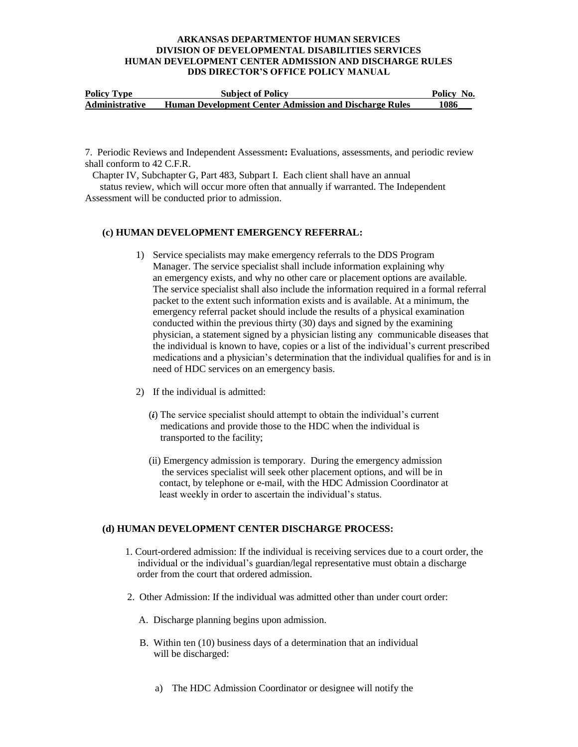| <b>Policy Type</b>    | <b>Subject of Policy</b>                                      | Policy No. |
|-----------------------|---------------------------------------------------------------|------------|
| <b>Administrative</b> | <b>Human Development Center Admission and Discharge Rules</b> | 1086       |

7. Periodic Reviews and Independent Assessment**:** Evaluations, assessments, and periodic review shall conform to 42 C.F.R.

Chapter IV, Subchapter G, Part 483, Subpart I. Each client shall have an annual

 status review, which will occur more often that annually if warranted. The Independent Assessment will be conducted prior to admission.

### **(c) HUMAN DEVELOPMENT EMERGENCY REFERRAL:**

- 1) Service specialists may make emergency referrals to the DDS Program Manager. The service specialist shall include information explaining why an emergency exists, and why no other care or placement options are available. The service specialist shall also include the information required in a formal referral packet to the extent such information exists and is available. At a minimum, the emergency referral packet should include the results of a physical examination conducted within the previous thirty (30) days and signed by the examining physician, a statement signed by a physician listing any communicable diseases that the individual is known to have, copies or a list of the individual's current prescribed medications and a physician's determination that the individual qualifies for and is in need of HDC services on an emergency basis.
- 2) If the individual is admitted:
	- (**i**) The service specialist should attempt to obtain the individual's current medications and provide those to the HDC when the individual is transported to the facility;
	- (ii) Emergency admission is temporary. During the emergency admission the services specialist will seek other placement options, and will be in contact, by telephone or e-mail, with the HDC Admission Coordinator at least weekly in order to ascertain the individual's status.

# **(d) HUMAN DEVELOPMENT CENTER DISCHARGE PROCESS:**

- 1. Court-ordered admission: If the individual is receiving services due to a court order, the individual or the individual's guardian/legal representative must obtain a discharge order from the court that ordered admission.
- 2. Other Admission: If the individual was admitted other than under court order:
	- A. Discharge planning begins upon admission.
	- B. Within ten (10) business days of a determination that an individual will be discharged:
		- a) The HDC Admission Coordinator or designee will notify the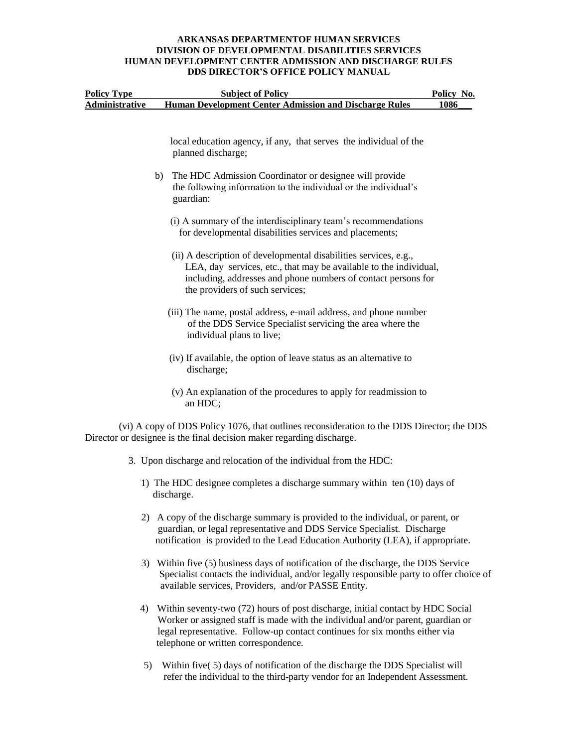| <b>Policy Type</b>    | <b>Subject of Policy</b>                                                                                                                                                                                                                  | Policy No. |  |
|-----------------------|-------------------------------------------------------------------------------------------------------------------------------------------------------------------------------------------------------------------------------------------|------------|--|
| <b>Administrative</b> | <b>Human Development Center Admission and Discharge Rules</b>                                                                                                                                                                             | 1086       |  |
|                       | local education agency, if any, that serves the individual of the<br>planned discharge;                                                                                                                                                   |            |  |
|                       |                                                                                                                                                                                                                                           |            |  |
|                       | The HDC Admission Coordinator or designee will provide<br>b)<br>the following information to the individual or the individual's<br>guardian:                                                                                              |            |  |
|                       | (i) A summary of the interdisciplinary team's recommendations<br>for developmental disabilities services and placements;                                                                                                                  |            |  |
|                       | (ii) A description of developmental disabilities services, e.g.,<br>LEA, day services, etc., that may be available to the individual,<br>including, addresses and phone numbers of contact persons for<br>the providers of such services; |            |  |
|                       | (iii) The name, postal address, e-mail address, and phone number<br>of the DDS Service Specialist servicing the area where the<br>individual plans to live;                                                                               |            |  |
|                       | (iv) If available, the option of leave status as an alternative to<br>discharge;                                                                                                                                                          |            |  |
|                       | (v) An explanation of the procedures to apply for readmission to<br>an HDC;                                                                                                                                                               |            |  |
|                       | (vi) A copy of DDS Policy 1076, that outlines reconsideration to the DDS Director; the DDS<br>Director or designee is the final decision maker regarding discharge.                                                                       |            |  |
|                       | 3. Upon discharge and relocation of the individual from the HDC:                                                                                                                                                                          |            |  |
|                       | 1) The HDC designee completes a discharge summary within ten (10) days of<br>discharge.                                                                                                                                                   |            |  |
|                       | 2) A copy of the discharge summary is provided to the individual, or parent, or<br>guardian, or legal representative and DDS Service Specialist. Discharge                                                                                |            |  |

 3) Within five (5) business days of notification of the discharge, the DDS Service Specialist contacts the individual, and/or legally responsible party to offer choice of available services, Providers, and/or PASSE Entity.

notification is provided to the Lead Education Authority (LEA), if appropriate.

- 4) Within seventy-two (72) hours of post discharge, initial contact by HDC Social Worker or assigned staff is made with the individual and/or parent, guardian or legal representative. Follow-up contact continues for six months either via telephone or written correspondence.
- 5) Within five( 5) days of notification of the discharge the DDS Specialist will refer the individual to the third-party vendor for an Independent Assessment.